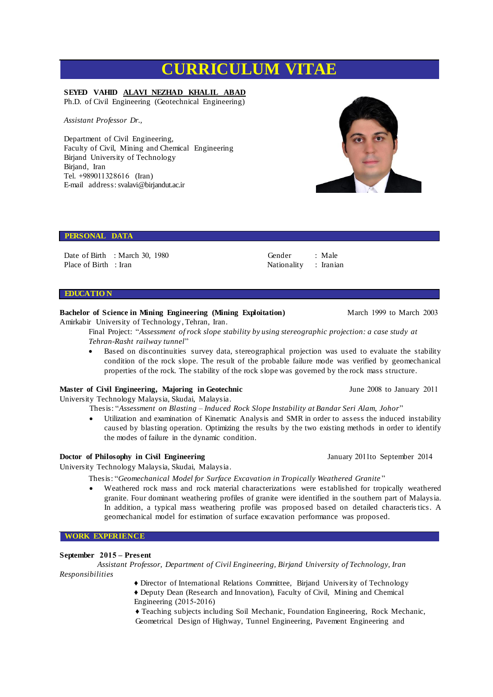# **CURRICULUM VITAE**

# **SEYED VAHID ALAVI NEZHAD KHALIL ABAD**

Ph.D. of Civil Engineering (Geotechnical Engineering)

*Assistant Professor Dr.,*

Department of Civil Engineering, Faculty of Civil, Mining and Chemical Engineering Birjand University of Technology Birjand, Iran Tel. +989011328616 (Iran) E-mail address: svalavi@birjandut.ac.ir

#### **PERSONAL DATA**

Date of Birth : March 30, 1980 Place of Birth : Iran

# **EDUCATIO N**

## **Bachelor of Science in Mining Engineering (Mining Exploitation)** March 1999 to March 2003

Amirkabir University of Technology , Tehran, Iran.

Final Project: "*Assessment of rock slope stability by using stereographic projection: a case study at Tehran-Rasht railway tunnel*"

 Based on discontinuities survey data, stereographical projection was used to evaluate the stability condition of the rock slope. The result of the probable failure mode was verified by geomechanical properties of the rock. The stability of the rock slope was governed by the rock mass structure.

Gender Nationality : Male : Iranian

## **Master of Civil Engineering, Majoring in Geotechnic** *June 2008* **to January 2011**

University Technology Malaysia, Skudai, Malaysia.

Thesis: "*Assessment on Blasting – Induced Rock Slope Instability at Bandar Seri Alam, Johor*"

 Utilization and examination of Kinematic Analysis and SMR in order to assess the induced instability caused by blasting operation. Optimizing the results by the two existing methods in order to identify the modes of failure in the dynamic condition.

## **Doctor of Philosophy in Civil Engineering January 2011to September 2014**

University Technology Malaysia, Skudai, Malaysia.

Thesis: "*Geomechanical Model for Surface Excavation in Tropically Weathered Granite* "

 Weathered rock mass and rock material characterizations were established for tropically weathered granite. Four dominant weathering profiles of granite were identified in the southern part of Malaysia. In addition, a typical mass weathering profile was proposed based on detailed characteristics. A geomechanical model for estimation of surface excavation performance was proposed.

## **WORK EXPERIENCE**

## **September 2015 – Present**

*Assistant Professor, Department of Civil Engineering, Birjand University of Technology, Iran Responsibilities*

- ♦ Director of International Relations Committee, Birjand University of Technology
- ♦ Deputy Dean (Research and Innovation), Faculty of Civil, Mining and Chemical Engineering (2015-2016)

♦ Teaching subjects including Soil Mechanic, Foundation Engineering, Rock Mechanic, Geometrical Design of Highway, Tunnel Engineering, Pavement Engineering and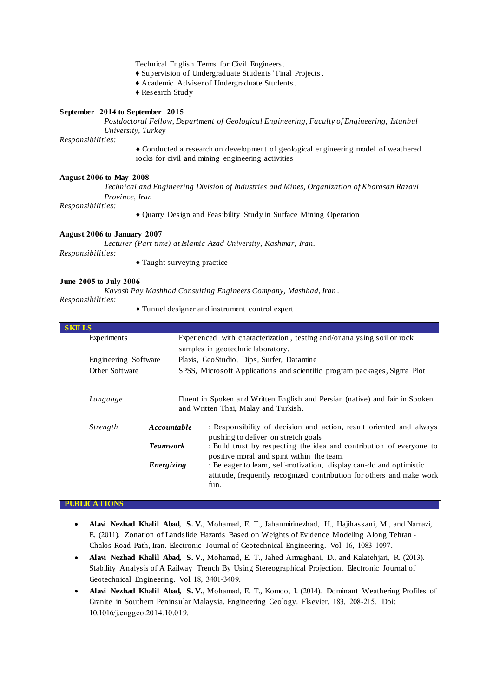Technical English Terms for Civil Engineers.

- ♦ Supervision of Undergraduate Students'Final Projects .
- ♦ Academic Adviser of Undergraduate Students.
- ♦ Research Study

## **September 2014 to September 2015**

*Postdoctoral Fellow, Department of Geological Engineering, Faculty of Engineering, Istanbul University, Turkey*

*Responsibilities:*

♦ Conducted a research on development of geological engineering model of weathered rocks for civil and mining engineering activities

#### **August 2006 to May 2008**

*Technical and Engineering Division of Industries and Mines, Organization of Khorasan Razavi Province, Iran*

*Responsibilities:*

♦ Quarry Design and Feasibility Study in Surface Mining Operation

#### **August 2006 to January 2007**

*Lecturer (Part time) at Islamic Azad University, Kashmar, Iran.* 

*Responsibilities:*

♦ Taught surveying practice

## **June 2005 to July 2006**

*Kavosh Pay Mashhad Consulting Engineers Company, Mashhad, Iran* .

## *Responsibilities:*

♦ Tunnel designer and instrument control expert

| <b>SKILLS</b><br>Experienced with characterization, testing and/or analysing soil or rock<br>Experiments<br>samples in geotechnic laboratory.<br>Plaxis, GeoStudio, Dips, Surfer, Datamine<br>Engineering Software<br>SPSS, Microsoft Applications and scientific program packages, Sigma Plot<br>Other Software<br>Fluent in Spoken and Written English and Persian (native) and fair in Spoken<br>Language<br>and Written Thai, Malay and Turkish.<br>Accountable<br>Strength<br>pushing to deliver on stretch goals<br><b>Teamwork</b><br>positive moral and spirit within the team.<br>: Be eager to learn, self-motivation, display can-do and optimistic<br>Energizing<br>fun. |  |  |                                                                       |
|--------------------------------------------------------------------------------------------------------------------------------------------------------------------------------------------------------------------------------------------------------------------------------------------------------------------------------------------------------------------------------------------------------------------------------------------------------------------------------------------------------------------------------------------------------------------------------------------------------------------------------------------------------------------------------------|--|--|-----------------------------------------------------------------------|
|                                                                                                                                                                                                                                                                                                                                                                                                                                                                                                                                                                                                                                                                                      |  |  |                                                                       |
|                                                                                                                                                                                                                                                                                                                                                                                                                                                                                                                                                                                                                                                                                      |  |  |                                                                       |
|                                                                                                                                                                                                                                                                                                                                                                                                                                                                                                                                                                                                                                                                                      |  |  |                                                                       |
|                                                                                                                                                                                                                                                                                                                                                                                                                                                                                                                                                                                                                                                                                      |  |  |                                                                       |
|                                                                                                                                                                                                                                                                                                                                                                                                                                                                                                                                                                                                                                                                                      |  |  |                                                                       |
|                                                                                                                                                                                                                                                                                                                                                                                                                                                                                                                                                                                                                                                                                      |  |  |                                                                       |
|                                                                                                                                                                                                                                                                                                                                                                                                                                                                                                                                                                                                                                                                                      |  |  | : Responsibility of decision and action, result oriented and always   |
|                                                                                                                                                                                                                                                                                                                                                                                                                                                                                                                                                                                                                                                                                      |  |  | : Build trust by respecting the idea and contribution of everyone to  |
|                                                                                                                                                                                                                                                                                                                                                                                                                                                                                                                                                                                                                                                                                      |  |  | attitude, frequently recognized contribution for others and make work |

#### **PUBLICATIONS**

- **Alavi Nezhad Khalil Abad, S. V.**, Mohamad, E. T., Jahanmirinezhad, H., Hajihassani, M., and Namazi, E. (2011). Zonation of Landslide Hazards Based on Weights of Evidence Modeling Along Tehran - Chalos Road Path, Iran. Electronic Journal of Geotechnical Engineering. Vol 16, 1083-1097.
- **Alavi Nezhad Khalil Abad, S. V.**, Mohamad, E. T., Jahed Armaghani, D., and Kalatehjari, R. (2013). Stability Analysis of A Railway Trench By Using Stereographical Projection. Electronic Journal of Geotechnical Engineering. Vol 18, 3401-3409.
- **Alavi Nezhad Khalil Abad, S. V.**, Mohamad, E. T., Komoo, I. (2014). Dominant Weathering Profiles of Granite in Southern Peninsular Malaysia. Engineering Geology. Elsevier. 183, 208-215. Doi: 10.1016/j.enggeo.2014.10.019.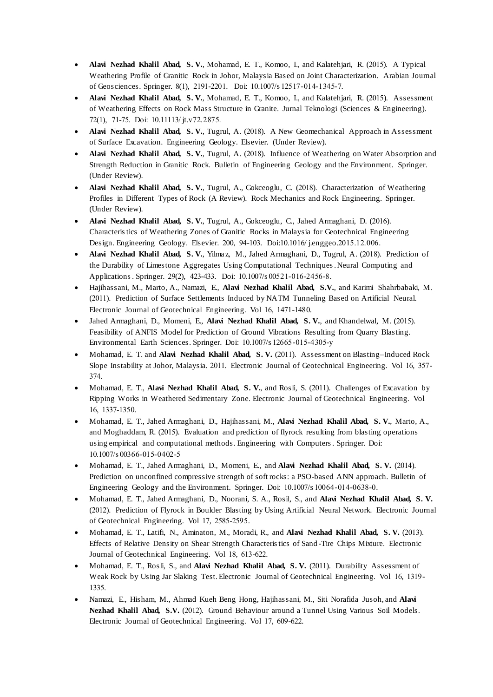- **Alavi Nezhad Khalil Abad, S. V.**, Mohamad, E. T., Komoo, I., and Kalatehjari, R. (2015). A Typical Weathering Profile of Granitic Rock in Johor, Malaysia Based on Joint Characterization. Arabian Journal of Geosciences. Springer. 8(1), 2191-2201. Doi: 10.1007/s 12517-014-1345-7.
- **Alavi Nezhad Khalil Abad, S. V.**, Mohamad, E. T., Komoo, I., and Kalatehjari, R. (2015). Assessment of Weathering Effects on Rock Mass Structure in Granite. Jurnal Teknologi (Sciences & Engineering). 72(1), 71-75. Doi: 10.11113/ jt.v72.2875.
- **Alavi Nezhad Khalil Abad, S. V.**, Tugrul, A. (2018). A New Geomechanical Approach in Assessment of Surface Excavation. Engineering Geology. Elsevier. (Under Review).
- **Alavi Nezhad Khalil Abad, S. V.**, Tugrul, A. (2018). Influence of Weathering on Water Absorption and Strength Reduction in Granitic Rock. Bulletin of Engineering Geology and the Environment. Springer. (Under Review).
- **Alavi Nezhad Khalil Abad, S. V.**, Tugrul, A., Gokceoglu, C. (2018). Characterization of Weathering Profiles in Different Types of Rock (A Review). Rock Mechanics and Rock Engineering. Springer. (Under Review).
- **Alavi Nezhad Khalil Abad, S. V.**, Tugrul, A., Gokceoglu, C., Jahed Armaghani, D. (2016). Characteristics of Weathering Zones of Granitic Rocks in Malaysia for Geotechnical Engineering Design. Engineering Geology. Elsevier. 200, 94-103. Doi:10.1016/ j.enggeo.2015.12.006.
- **Alavi Nezhad Khalil Abad, S. V.**, Yilmaz, M., Jahed Armaghani, D., Tugrul, A. (2018). Prediction of the Durability of Limestone Aggregates Using Computational Techniques.Neural Computing and Applications. Springer. 29(2), 423-433. Doi: 10.1007/s 00521-016-2456-8.
- Hajihassani, M., Marto, A., Namazi, E., **Alavi Nezhad Khalil Abad, S.V.**, and Karimi Shahrbabaki, M. (2011). Prediction of Surface Settlements Induced by NATM Tunneling Based on Artificial Neural. Electronic Journal of Geotechnical Engineering. Vol 16, 1471-1480.
- Jahed Armaghani, D., Momeni, E., **Alavi Nezhad Khalil Abad, S. V.**, and Khandelwal, M. (2015). Feasibility of ANFIS Model for Prediction of Ground Vibrations Resulting from Quarry Blasting. Environmental Earth Sciences. Springer. Doi: 10.1007/s 12665-015-4305-y
- Mohamad, E. T. and **Alavi Nezhad Khalil Abad, S. V.** (2011). Assessment on Blasting–Induced Rock Slope Instability at Johor, Malaysia. 2011. Electronic Journal of Geotechnical Engineering. Vol 16, 357- 374.
- Mohamad, E. T., **Alavi Nezhad Khalil Abad, S. V.**, and Rosli, S. (2011). Challenges of Excavation by Ripping Works in Weathered Sedimentary Zone. Electronic Journal of Geotechnical Engineering. Vol 16, 1337-1350.
- Mohamad, E. T., Jahed Armaghani, D., Hajihassani, M., **Alavi Nezhad Khalil Abad, S. V.**, Marto, A., and Moghaddam, R. (2015). Evaluation and prediction of flyrock resulting from blasting operations using empirical and computational methods. Engineering with Computers. Springer. Doi: 10.1007/s 00366-015-0402-5
- Mohamad, E. T., Jahed Armaghani, D., Momeni, E., and **Alavi Nezhad Khalil Abad, S. V.** (2014). Prediction on unconfined compressive strength of soft rocks: a PSO-based ANN approach. Bulletin of Engineering Geology and the Environment. Springer. Doi: 10.1007/s 10064-014-0638-0.
- Mohamad, E. T., Jahed Armaghani, D., Noorani, S. A., Rosil, S., and **Alavi Nezhad Khalil Abad, S. V.**  (2012). Prediction of Flyrock in Boulder Blasting by Using Artificial Neural Network. Electronic Journal of Geotechnical Engineering. Vol 17, 2585-2595.
- Mohamad, E. T., Latifi, N., Aminaton, M., Moradi, R., and **Alavi Nezhad Khalil Abad, S. V.** (2013). Effects of Relative Density on Shear Strength Characteristics of Sand -Tire Chips Mixture. Electronic Journal of Geotechnical Engineering. Vol 18, 613-622.
- Mohamad, E. T., Rosli, S., and **Alavi Nezhad Khalil Abad, S. V.** (2011). Durability Assessment of Weak Rock by Using Jar Slaking Test. Electronic Journal of Geotechnical Engineering. Vol 16, 1319- 1335.
- Namazi, E., Hisham, M., Ahmad Kueh Beng Hong, Hajihassani, M., Siti Norafida Jusoh, and **Alavi Nezhad Khalil Abad, S.V.** (2012). Ground Behaviour around a Tunnel Using Various Soil Models. Electronic Journal of Geotechnical Engineering. Vol 17, 609-622.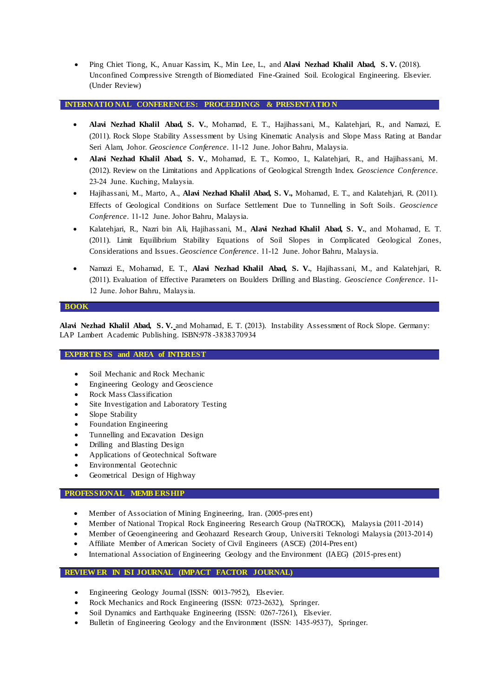Ping Chiet Tiong, K., Anuar Kassim, K., Min Lee, L., and **Alavi Nezhad Khalil Abad, S. V.** (2018). Unconfined Compressive Strength of Biomediated Fine-Grained Soil. Ecological Engineering. Elsevier. (Under Review)

## **INTERNATIO NAL CONFERENCES: PROCEEDINGS & PRESENTATIO N**

- **Alavi Nezhad Khalil Abad, S. V.**, Mohamad, E. T., Hajihassani, M., Kalatehjari, R., and Namazi, E. (2011). Rock Slope Stability Assessment by Using Kinematic Analysis and Slope Mass Rating at Bandar Seri Alam, Johor. *Geoscience Conference*. 11-12 June. Johor Bahru, Malaysia.
- **Alavi Nezhad Khalil Abad, S. V.**, Mohamad, E. T., Komoo, I., Kalatehjari, R., and Hajihassani, M. (2012). Review on the Limitations and Applications of Geological Strength Index. *Geoscience Conference*. 23-24 June. Kuching, Malaysia.
- Hajihassani, M., Marto, A., **Alavi Nezhad Khalil Abad, S. V.,** Mohamad, E. T., and Kalatehjari, R. (2011). Effects of Geological Conditions on Surface Settlement Due to Tunnelling in Soft Soils. *Geoscience Conference*. 11-12 June. Johor Bahru, Malaysia.
- Kalatehjari, R., Nazri bin Ali, Hajihassani, M., **Alavi Nezhad Khalil Abad, S. V.**, and Mohamad, E. T. (2011). Limit Equilibrium Stability Equations of Soil Slopes in Complicated Geological Zones, Considerations and Issues. *Geoscience Conference*. 11-12 June. Johor Bahru, Malaysia.
- Namazi E., Mohamad, E. T., **Alavi Nezhad Khalil Abad, S. V.**, Hajihassani, M., and Kalatehjari, R. (2011). Evaluation of Effective Parameters on Boulders Drilling and Blasting. *Geoscience Conference*. 11- 12 June. Johor Bahru, Malaysia.

## **BOOK**

**Alavi Nezhad Khalil Abad, S. V.** and Mohamad, E. T. (2013). Instability Assessment of Rock Slope. Germany: LAP Lambert Academic Publishing. ISBN:978 -3838370934

## **EXPERTIS ES and AREA of INTEREST**

- Soil Mechanic and Rock Mechanic
- Engineering Geology and Geoscience
- Rock Mass Classification
- Site Investigation and Laboratory Testing
- Slope Stability
- Foundation Engineering
- Tunnelling and Excavation Design
- Drilling and Blasting Design
- Applications of Geotechnical Software
- Environmental Geotechnic
- Geometrical Design of Highway

## **PROFESSIONAL MEMB ERSHIP**

- Member of Association of Mining Engineering, Iran. (2005-pres ent)
- Member of National Tropical Rock Engineering Research Group (NaTROCK), Malaysia (2011-2014)
- Member of Geoengineering and Geohazard Research Group, Universiti Teknologi Malaysia (2013-2014)
- Affiliate Member of American Society of Civil Engineers (ASCE) (2014-Pres ent)
- International Association of Engineering Geology and the Environment (IAEG) (2015-pres ent)

## **REVIEWER IN ISI JOURNAL (IMPACT FACTOR JOURNAL)**

- Engineering Geology Journal (ISSN: 0013-7952), Elsevier.
- Rock Mechanics and Rock Engineering (ISSN: 0723-2632), Springer.
- Soil Dynamics and Earthquake Engineering (ISSN: 0267-7261), Elsevier.
- Bulletin of Engineering Geology and the Environment (ISSN: 1435-9537), Springer.